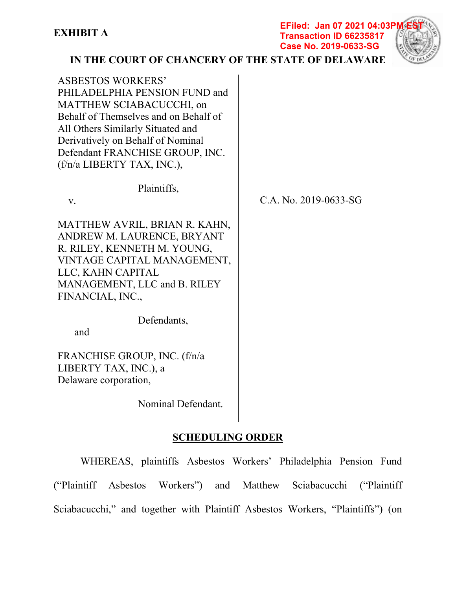#### **EFiled: Jan 07 2021 04:03P Transaction ID 66235817 Case No. 2019-0633-SG**



**IN THE COURT OF CHANCERY OF THE STATE OF DELAWARE**

| <b>ASBESTOS WORKERS'</b><br>PHILADELPHIA PENSION FUND and<br>MATTHEW SCIABACUCCHI, on<br>Behalf of Themselves and on Behalf of<br>All Others Similarly Situated and<br>Derivatively on Behalf of Nominal<br>Defendant FRANCHISE GROUP, INC.<br>(f/n/a LIBERTY TAX, INC.), |                       |
|---------------------------------------------------------------------------------------------------------------------------------------------------------------------------------------------------------------------------------------------------------------------------|-----------------------|
| Plaintiffs,                                                                                                                                                                                                                                                               |                       |
| V.                                                                                                                                                                                                                                                                        | C.A. No. 2019-0633-SG |
| MATTHEW AVRIL, BRIAN R. KAHN,<br>ANDREW M. LAURENCE, BRYANT<br>R. RILEY, KENNETH M. YOUNG,<br>VINTAGE CAPITAL MANAGEMENT,<br>LLC, KAHN CAPITAL<br>MANAGEMENT, LLC and B. RILEY<br>FINANCIAL, INC.,                                                                        |                       |
| Defendants,<br>and                                                                                                                                                                                                                                                        |                       |
|                                                                                                                                                                                                                                                                           |                       |
| FRANCHISE GROUP, INC. (f/n/a                                                                                                                                                                                                                                              |                       |
| LIBERTY TAX, INC.), a                                                                                                                                                                                                                                                     |                       |
| Delaware corporation,                                                                                                                                                                                                                                                     |                       |

Nominal Defendant.

# **SCHEDULING ORDER**

WHEREAS, plaintiffs Asbestos Workers' Philadelphia Pension Fund ("Plaintiff Asbestos Workers") and Matthew Sciabacucchi ("Plaintiff Sciabacucchi," and together with Plaintiff Asbestos Workers, "Plaintiffs") (on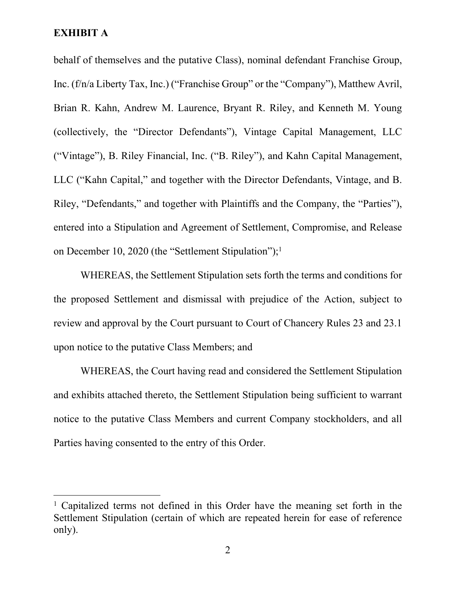behalf of themselves and the putative Class), nominal defendant Franchise Group, Inc. (f/n/a Liberty Tax, Inc.) ("Franchise Group" or the "Company"), Matthew Avril, Brian R. Kahn, Andrew M. Laurence, Bryant R. Riley, and Kenneth M. Young (collectively, the "Director Defendants"), Vintage Capital Management, LLC ("Vintage"), B. Riley Financial, Inc. ("B. Riley"), and Kahn Capital Management, LLC ("Kahn Capital," and together with the Director Defendants, Vintage, and B. Riley, "Defendants," and together with Plaintiffs and the Company, the "Parties"), entered into a Stipulation and Agreement of Settlement, Compromise, and Release on December 10, 2020 (the "Settlement Stipulation");<sup>1</sup>

WHEREAS, the Settlement Stipulation sets forth the terms and conditions for the proposed Settlement and dismissal with prejudice of the Action, subject to review and approval by the Court pursuant to Court of Chancery Rules 23 and 23.1 upon notice to the putative Class Members; and

WHEREAS, the Court having read and considered the Settlement Stipulation and exhibits attached thereto, the Settlement Stipulation being sufficient to warrant notice to the putative Class Members and current Company stockholders, and all Parties having consented to the entry of this Order.

<sup>&</sup>lt;sup>1</sup> Capitalized terms not defined in this Order have the meaning set forth in the Settlement Stipulation (certain of which are repeated herein for ease of reference only).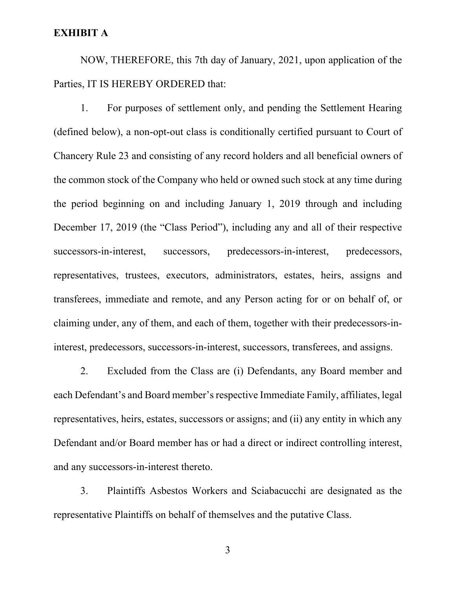NOW, THEREFORE, this 7th day of January, 2021, upon application of the Parties, IT IS HEREBY ORDERED that:

1. For purposes of settlement only, and pending the Settlement Hearing (defined below), a non-opt-out class is conditionally certified pursuant to Court of Chancery Rule 23 and consisting of any record holders and all beneficial owners of the common stock of the Company who held or owned such stock at any time during the period beginning on and including January 1, 2019 through and including December 17, 2019 (the "Class Period"), including any and all of their respective successors-in-interest, successors, predecessors-in-interest, predecessors, representatives, trustees, executors, administrators, estates, heirs, assigns and transferees, immediate and remote, and any Person acting for or on behalf of, or claiming under, any of them, and each of them, together with their predecessors-ininterest, predecessors, successors-in-interest, successors, transferees, and assigns.

2. Excluded from the Class are (i) Defendants, any Board member and each Defendant's and Board member's respective Immediate Family, affiliates, legal representatives, heirs, estates, successors or assigns; and (ii) any entity in which any Defendant and/or Board member has or had a direct or indirect controlling interest, and any successors-in-interest thereto.

3. Plaintiffs Asbestos Workers and Sciabacucchi are designated as the representative Plaintiffs on behalf of themselves and the putative Class.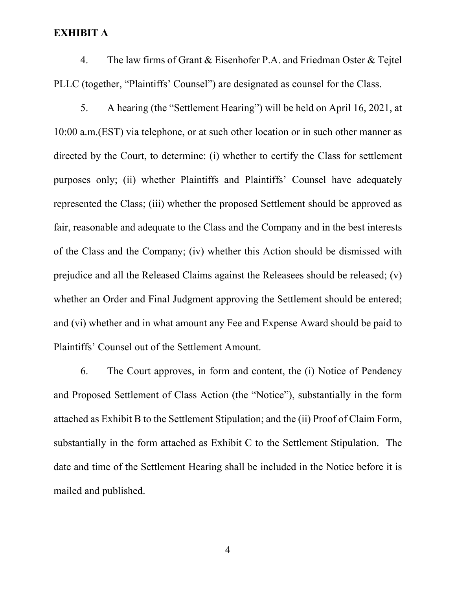4. The law firms of Grant & Eisenhofer P.A. and Friedman Oster & Tejtel PLLC (together, "Plaintiffs' Counsel") are designated as counsel for the Class.

5. A hearing (the "Settlement Hearing") will be held on April 16, 2021, at 10:00 a.m.(EST) via telephone, or at such other location or in such other manner as directed by the Court, to determine: (i) whether to certify the Class for settlement purposes only; (ii) whether Plaintiffs and Plaintiffs' Counsel have adequately represented the Class; (iii) whether the proposed Settlement should be approved as fair, reasonable and adequate to the Class and the Company and in the best interests of the Class and the Company; (iv) whether this Action should be dismissed with prejudice and all the Released Claims against the Releasees should be released; (v) whether an Order and Final Judgment approving the Settlement should be entered; and (vi) whether and in what amount any Fee and Expense Award should be paid to Plaintiffs' Counsel out of the Settlement Amount.

6. The Court approves, in form and content, the (i) Notice of Pendency and Proposed Settlement of Class Action (the "Notice"), substantially in the form attached as Exhibit B to the Settlement Stipulation; and the (ii) Proof of Claim Form, substantially in the form attached as Exhibit C to the Settlement Stipulation. The date and time of the Settlement Hearing shall be included in the Notice before it is mailed and published.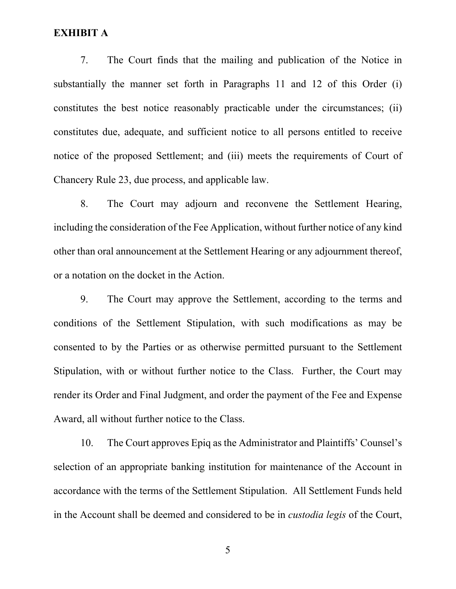7. The Court finds that the mailing and publication of the Notice in substantially the manner set forth in Paragraphs 11 and 12 of this Order (i) constitutes the best notice reasonably practicable under the circumstances; (ii) constitutes due, adequate, and sufficient notice to all persons entitled to receive notice of the proposed Settlement; and (iii) meets the requirements of Court of Chancery Rule 23, due process, and applicable law.

8. The Court may adjourn and reconvene the Settlement Hearing, including the consideration of the Fee Application, without further notice of any kind other than oral announcement at the Settlement Hearing or any adjournment thereof, or a notation on the docket in the Action.

9. The Court may approve the Settlement, according to the terms and conditions of the Settlement Stipulation, with such modifications as may be consented to by the Parties or as otherwise permitted pursuant to the Settlement Stipulation, with or without further notice to the Class. Further, the Court may render its Order and Final Judgment, and order the payment of the Fee and Expense Award, all without further notice to the Class.

10. The Court approves Epiq as the Administrator and Plaintiffs' Counsel's selection of an appropriate banking institution for maintenance of the Account in accordance with the terms of the Settlement Stipulation. All Settlement Funds held in the Account shall be deemed and considered to be in *custodia legis* of the Court,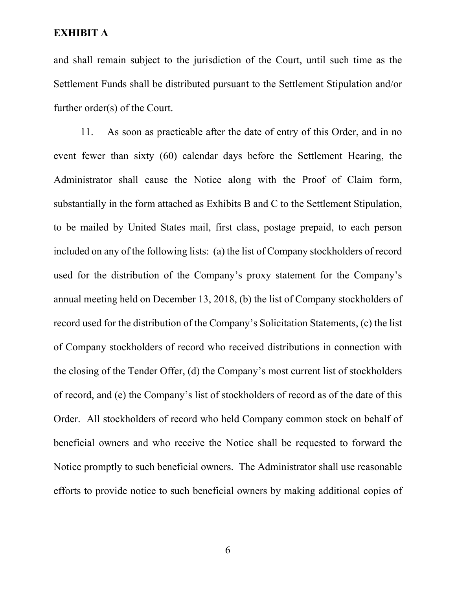and shall remain subject to the jurisdiction of the Court, until such time as the Settlement Funds shall be distributed pursuant to the Settlement Stipulation and/or further order(s) of the Court.

11. As soon as practicable after the date of entry of this Order, and in no event fewer than sixty (60) calendar days before the Settlement Hearing, the Administrator shall cause the Notice along with the Proof of Claim form, substantially in the form attached as Exhibits B and C to the Settlement Stipulation, to be mailed by United States mail, first class, postage prepaid, to each person included on any of the following lists: (a) the list of Company stockholders of record used for the distribution of the Company's proxy statement for the Company's annual meeting held on December 13, 2018, (b) the list of Company stockholders of record used for the distribution of the Company's Solicitation Statements, (c) the list of Company stockholders of record who received distributions in connection with the closing of the Tender Offer, (d) the Company's most current list of stockholders of record, and (e) the Company's list of stockholders of record as of the date of this Order. All stockholders of record who held Company common stock on behalf of beneficial owners and who receive the Notice shall be requested to forward the Notice promptly to such beneficial owners. The Administrator shall use reasonable efforts to provide notice to such beneficial owners by making additional copies of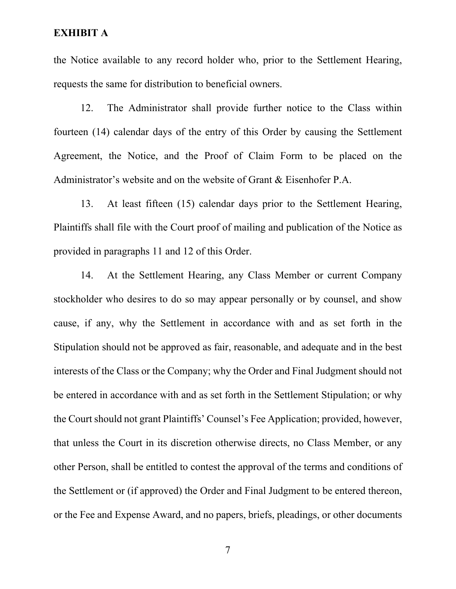the Notice available to any record holder who, prior to the Settlement Hearing, requests the same for distribution to beneficial owners.

12. The Administrator shall provide further notice to the Class within fourteen (14) calendar days of the entry of this Order by causing the Settlement Agreement, the Notice, and the Proof of Claim Form to be placed on the Administrator's website and on the website of Grant & Eisenhofer P.A.

13. At least fifteen (15) calendar days prior to the Settlement Hearing, Plaintiffs shall file with the Court proof of mailing and publication of the Notice as provided in paragraphs 11 and 12 of this Order.

14. At the Settlement Hearing, any Class Member or current Company stockholder who desires to do so may appear personally or by counsel, and show cause, if any, why the Settlement in accordance with and as set forth in the Stipulation should not be approved as fair, reasonable, and adequate and in the best interests of the Class or the Company; why the Order and Final Judgment should not be entered in accordance with and as set forth in the Settlement Stipulation; or why the Court should not grant Plaintiffs' Counsel's Fee Application; provided, however, that unless the Court in its discretion otherwise directs, no Class Member, or any other Person, shall be entitled to contest the approval of the terms and conditions of the Settlement or (if approved) the Order and Final Judgment to be entered thereon, or the Fee and Expense Award, and no papers, briefs, pleadings, or other documents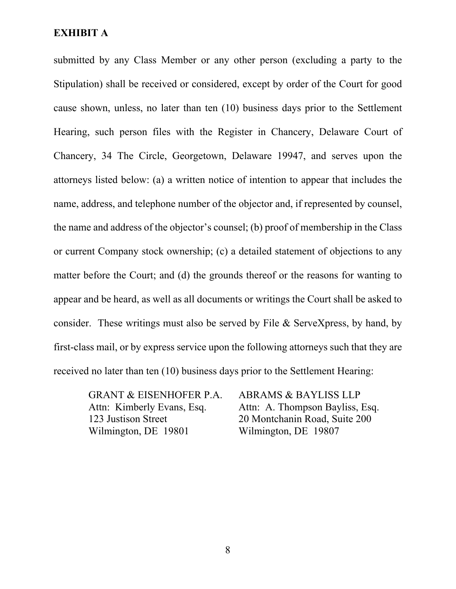submitted by any Class Member or any other person (excluding a party to the Stipulation) shall be received or considered, except by order of the Court for good cause shown, unless, no later than ten (10) business days prior to the Settlement Hearing, such person files with the Register in Chancery, Delaware Court of Chancery, 34 The Circle, Georgetown, Delaware 19947, and serves upon the attorneys listed below: (a) a written notice of intention to appear that includes the name, address, and telephone number of the objector and, if represented by counsel, the name and address of the objector's counsel; (b) proof of membership in the Class or current Company stock ownership; (c) a detailed statement of objections to any matter before the Court; and (d) the grounds thereof or the reasons for wanting to appear and be heard, as well as all documents or writings the Court shall be asked to consider. These writings must also be served by File & ServeXpress, by hand, by first-class mail, or by express service upon the following attorneys such that they are received no later than ten (10) business days prior to the Settlement Hearing:

GRANT & EISENHOFER P.A. Attn: Kimberly Evans, Esq. 123 Justison Street Wilmington, DE 19801

ABRAMS & BAYLISS LLP Attn: A. Thompson Bayliss, Esq. 20 Montchanin Road, Suite 200 Wilmington, DE 19807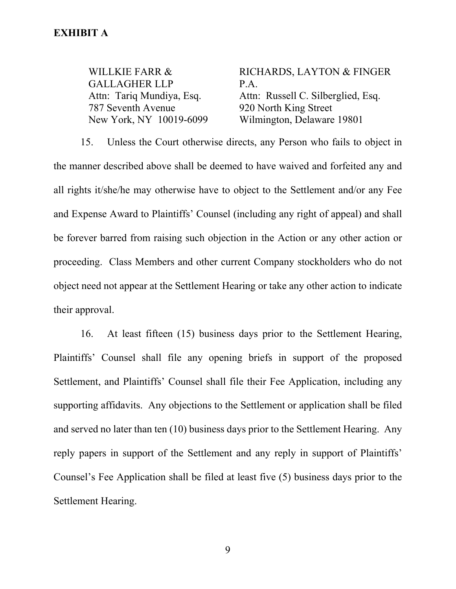WILLKIE FARR & GALLAGHER LLP Attn: Tariq Mundiya, Esq. 787 Seventh Avenue New York, NY 10019-6099 RICHARDS, LAYTON & FINGER P.A. Attn: Russell C. Silberglied, Esq. 920 North King Street Wilmington, Delaware 19801

15. Unless the Court otherwise directs, any Person who fails to object in the manner described above shall be deemed to have waived and forfeited any and all rights it/she/he may otherwise have to object to the Settlement and/or any Fee and Expense Award to Plaintiffs' Counsel (including any right of appeal) and shall be forever barred from raising such objection in the Action or any other action or proceeding. Class Members and other current Company stockholders who do not object need not appear at the Settlement Hearing or take any other action to indicate their approval.

16. At least fifteen (15) business days prior to the Settlement Hearing, Plaintiffs' Counsel shall file any opening briefs in support of the proposed Settlement, and Plaintiffs' Counsel shall file their Fee Application, including any supporting affidavits. Any objections to the Settlement or application shall be filed and served no later than ten (10) business days prior to the Settlement Hearing. Any reply papers in support of the Settlement and any reply in support of Plaintiffs' Counsel's Fee Application shall be filed at least five (5) business days prior to the Settlement Hearing.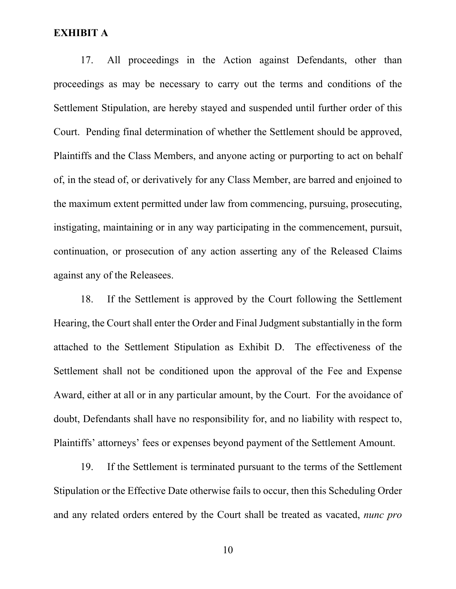17. All proceedings in the Action against Defendants, other than proceedings as may be necessary to carry out the terms and conditions of the Settlement Stipulation, are hereby stayed and suspended until further order of this Court. Pending final determination of whether the Settlement should be approved, Plaintiffs and the Class Members, and anyone acting or purporting to act on behalf of, in the stead of, or derivatively for any Class Member, are barred and enjoined to the maximum extent permitted under law from commencing, pursuing, prosecuting, instigating, maintaining or in any way participating in the commencement, pursuit, continuation, or prosecution of any action asserting any of the Released Claims against any of the Releasees.

18. If the Settlement is approved by the Court following the Settlement Hearing, the Court shall enter the Order and Final Judgment substantially in the form attached to the Settlement Stipulation as Exhibit D. The effectiveness of the Settlement shall not be conditioned upon the approval of the Fee and Expense Award, either at all or in any particular amount, by the Court. For the avoidance of doubt, Defendants shall have no responsibility for, and no liability with respect to, Plaintiffs' attorneys' fees or expenses beyond payment of the Settlement Amount.

19. If the Settlement is terminated pursuant to the terms of the Settlement Stipulation or the Effective Date otherwise fails to occur, then this Scheduling Order and any related orders entered by the Court shall be treated as vacated, *nunc pro*